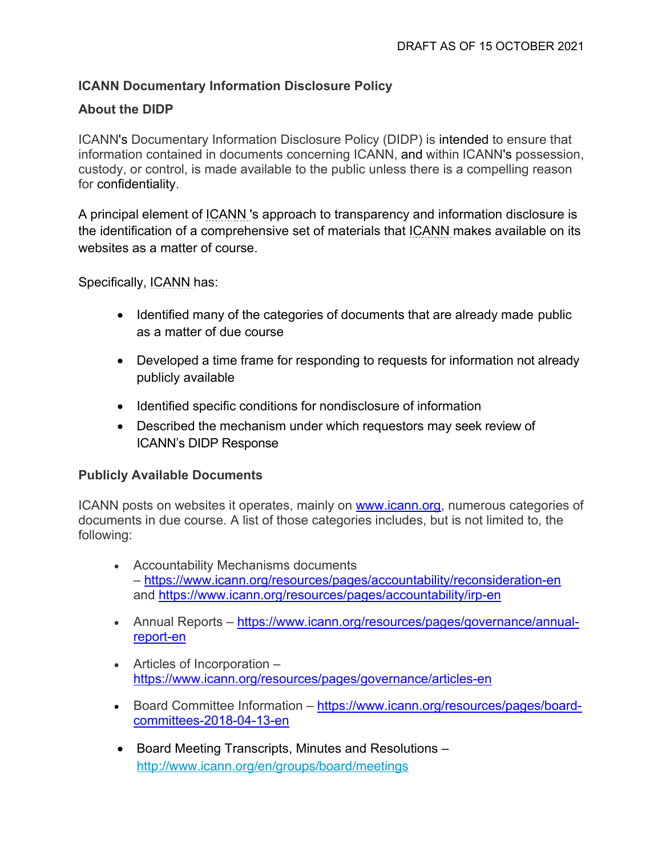# **ICANN Documentary Information Disclosure Policy**

## **About the DIDP**

ICANN's Documentary Information Disclosure Policy (DIDP) is intended to ensure that information contained in documents concerning ICANN, and within ICANN's possession, custody, or control, is made available to the public unless there is a compelling reason for confidentiality.

A principal element of ICANN 's approach to transparency and information disclosure is the identification of a comprehensive set of materials that ICANN makes available on its websites as a matter of course.

Specifically, ICANN has:

- Identified many of the categories of documents that are already made public as a matter of due course
- Developed a time frame for responding to requests for information not already publicly available
- Identified specific conditions for nondisclosure of information
- Described the mechanism under which requestors may seek review of ICANN's DIDP Response

### **Publicly Available Documents**

ICANN posts on websites it operates, mainly on www.icann.org, numerous categories of documents in due course. A list of those categories includes, but is not limited to, the following:

- Accountability Mechanisms documents – https://www.icann.org/resources/pages/accountability/reconsideration-en and https://www.icann.org/resources/pages/accountability/irp-en
- Annual Reports https://www.icann.org/resources/pages/governance/annualreport-en
- Articles of Incorporation https://www.icann.org/resources/pages/governance/articles-en
- Board Committee Information https://www.icann.org/resources/pages/boardcommittees-2018-04-13-en
- Board Meeting Transcripts, Minutes and Resolutions http://www.icann.org/en/groups/board/meetings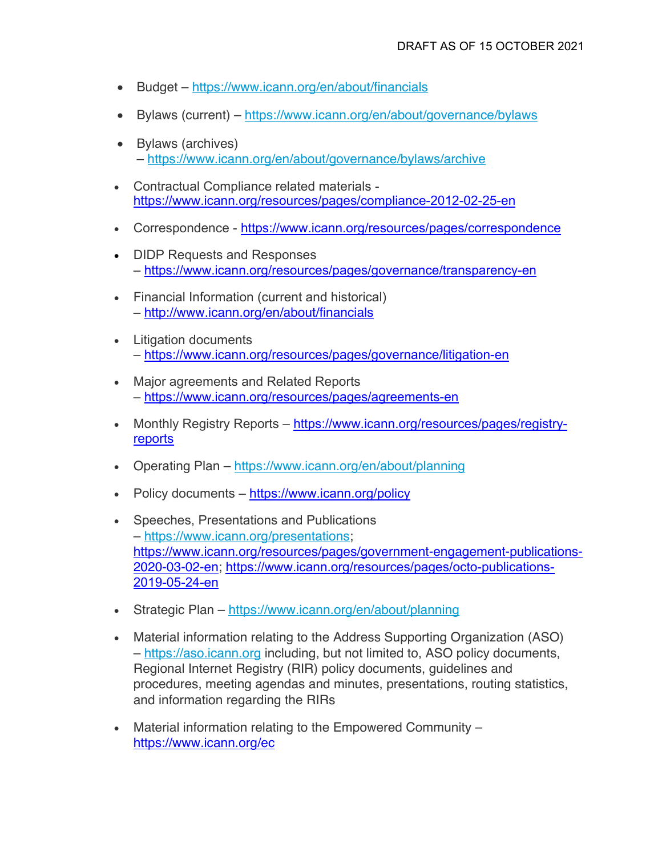- Budget https://www.icann.org/en/about/financials
- Bylaws (current) https://www.icann.org/en/about/governance/bylaws
- Bylaws (archives) – https://www.icann.org/en/about/governance/bylaws/archive
- Contractual Compliance related materials https://www.icann.org/resources/pages/compliance-2012-02-25-en
- Correspondence https://www.icann.org/resources/pages/correspondence
- DIDP Requests and Responses – https://www.icann.org/resources/pages/governance/transparency-en
- Financial Information (current and historical) – http://www.icann.org/en/about/financials
- Litigation documents – https://www.icann.org/resources/pages/governance/litigation-en
- Major agreements and Related Reports – https://www.icann.org/resources/pages/agreements-en
- Monthly Registry Reports https://www.icann.org/resources/pages/registryreports
- Operating Plan https://www.icann.org/en/about/planning
- Policy documents https://www.icann.org/policy
- Speeches, Presentations and Publications – https://www.icann.org/presentations; https://www.icann.org/resources/pages/government-engagement-publications-2020-03-02-en; https://www.icann.org/resources/pages/octo-publications-2019-05-24-en
- Strategic Plan https://www.icann.org/en/about/planning
- Material information relating to the Address Supporting Organization (ASO) – https://aso.icann.org including, but not limited to, ASO policy documents, Regional Internet Registry (RIR) policy documents, guidelines and procedures, meeting agendas and minutes, presentations, routing statistics, and information regarding the RIRs
- Material information relating to the Empowered Community https://www.icann.org/ec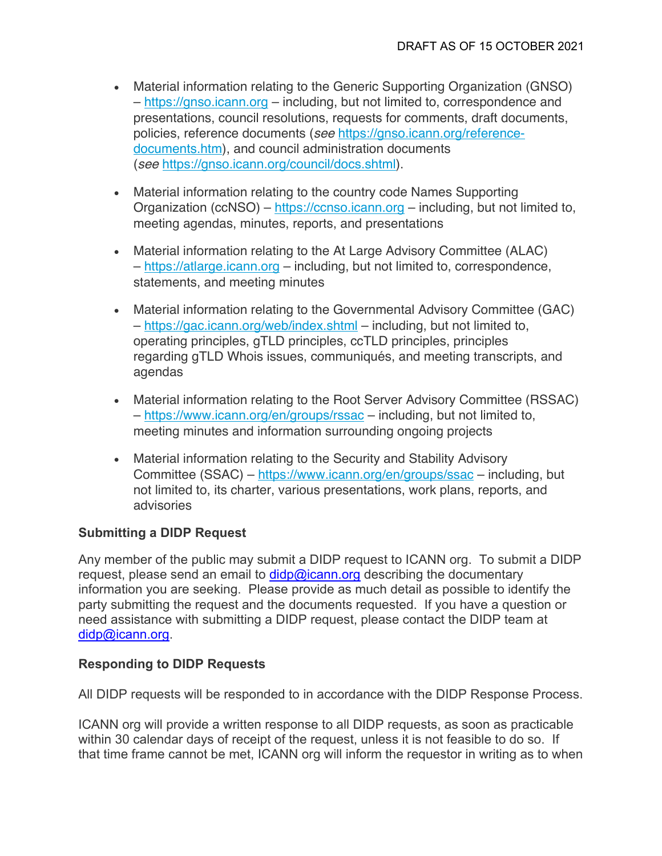- Material information relating to the Generic Supporting Organization (GNSO) – https://gnso.icann.org – including, but not limited to, correspondence and presentations, council resolutions, requests for comments, draft documents, policies, reference documents (*see* https://gnso.icann.org/referencedocuments.htm), and council administration documents (*see* https://gnso.icann.org/council/docs.shtml).
- Material information relating to the country code Names Supporting Organization (ccNSO) – https://ccnso.icann.org – including, but not limited to, meeting agendas, minutes, reports, and presentations
- Material information relating to the At Large Advisory Committee (ALAC) – https://atlarge.icann.org – including, but not limited to, correspondence, statements, and meeting minutes
- Material information relating to the Governmental Advisory Committee (GAC) – https://gac.icann.org/web/index.shtml – including, but not limited to, operating principles, gTLD principles, ccTLD principles, principles regarding gTLD Whois issues, communiqués, and meeting transcripts, and agendas
- Material information relating to the Root Server Advisory Committee (RSSAC) – https://www.icann.org/en/groups/rssac – including, but not limited to, meeting minutes and information surrounding ongoing projects
- Material information relating to the Security and Stability Advisory Committee (SSAC) – https://www.icann.org/en/groups/ssac – including, but not limited to, its charter, various presentations, work plans, reports, and advisories

## **Submitting a DIDP Request**

Any member of the public may submit a DIDP request to ICANN org. To submit a DIDP request, please send an email to  $\text{dip}(\mathcal{Q})$  cannoning describing the documentary information you are seeking. Please provide as much detail as possible to identify the party submitting the request and the documents requested. If you have a question or need assistance with submitting a DIDP request, please contact the DIDP team at didp@icann.org.

## **Responding to DIDP Requests**

All DIDP requests will be responded to in accordance with the DIDP Response Process.

ICANN org will provide a written response to all DIDP requests, as soon as practicable within 30 calendar days of receipt of the request, unless it is not feasible to do so. If that time frame cannot be met, ICANN org will inform the requestor in writing as to when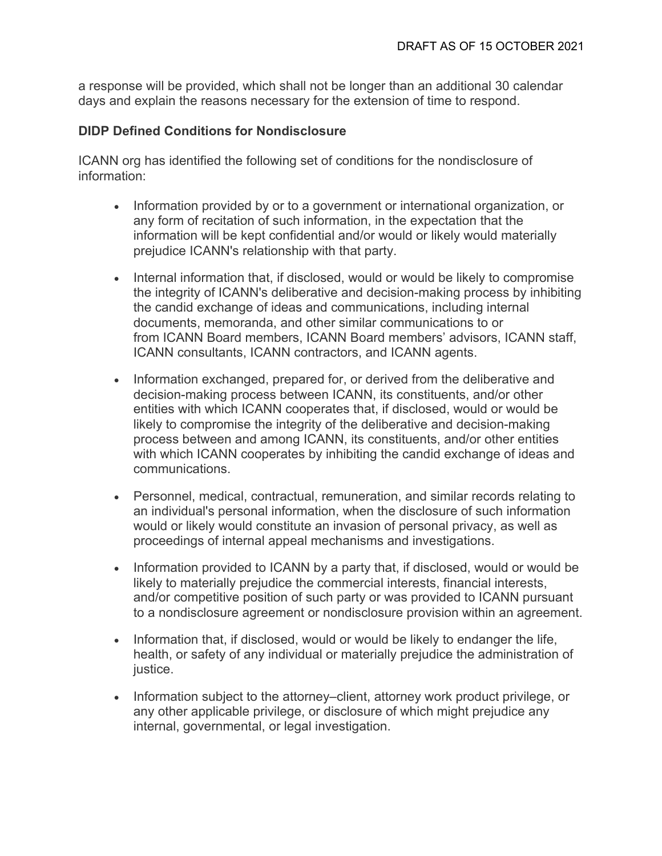a response will be provided, which shall not be longer than an additional 30 calendar days and explain the reasons necessary for the extension of time to respond.

### **DIDP Defined Conditions for Nondisclosure**

ICANN org has identified the following set of conditions for the nondisclosure of information:

- Information provided by or to a government or international organization, or any form of recitation of such information, in the expectation that the information will be kept confidential and/or would or likely would materially prejudice ICANN's relationship with that party.
- Internal information that, if disclosed, would or would be likely to compromise the integrity of ICANN's deliberative and decision-making process by inhibiting the candid exchange of ideas and communications, including internal documents, memoranda, and other similar communications to or from ICANN Board members, ICANN Board members' advisors, ICANN staff, ICANN consultants, ICANN contractors, and ICANN agents.
- Information exchanged, prepared for, or derived from the deliberative and decision-making process between ICANN, its constituents, and/or other entities with which ICANN cooperates that, if disclosed, would or would be likely to compromise the integrity of the deliberative and decision-making process between and among ICANN, its constituents, and/or other entities with which ICANN cooperates by inhibiting the candid exchange of ideas and communications.
- Personnel, medical, contractual, remuneration, and similar records relating to an individual's personal information, when the disclosure of such information would or likely would constitute an invasion of personal privacy, as well as proceedings of internal appeal mechanisms and investigations.
- Information provided to ICANN by a party that, if disclosed, would or would be likely to materially prejudice the commercial interests, financial interests, and/or competitive position of such party or was provided to ICANN pursuant to a nondisclosure agreement or nondisclosure provision within an agreement.
- Information that, if disclosed, would or would be likely to endanger the life, health, or safety of any individual or materially prejudice the administration of justice.
- Information subject to the attorney–client, attorney work product privilege, or any other applicable privilege, or disclosure of which might prejudice any internal, governmental, or legal investigation.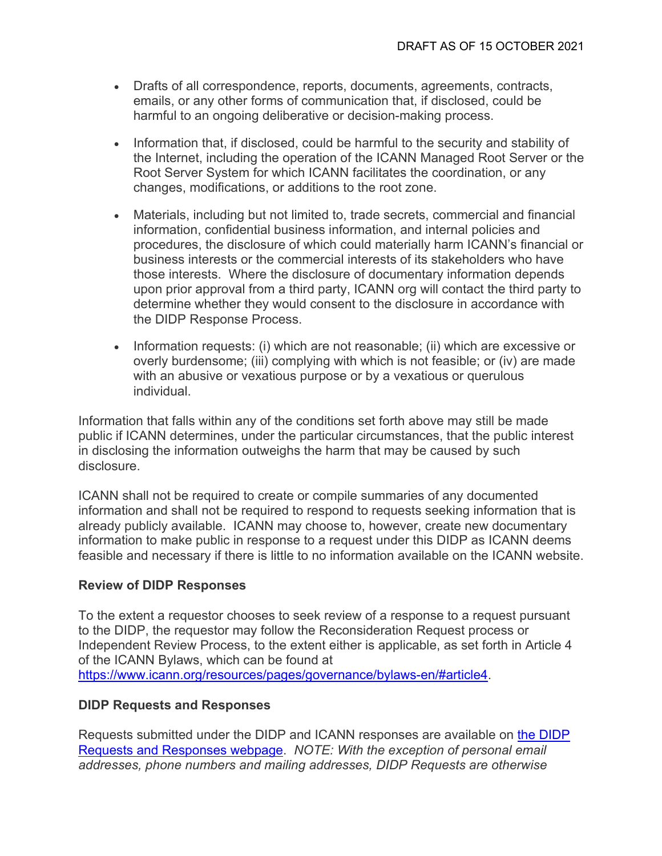- Drafts of all correspondence, reports, documents, agreements, contracts, emails, or any other forms of communication that, if disclosed, could be harmful to an ongoing deliberative or decision-making process.
- Information that, if disclosed, could be harmful to the security and stability of the Internet, including the operation of the ICANN Managed Root Server or the Root Server System for which ICANN facilitates the coordination, or any changes, modifications, or additions to the root zone.
- Materials, including but not limited to, trade secrets, commercial and financial information, confidential business information, and internal policies and procedures, the disclosure of which could materially harm ICANN's financial or business interests or the commercial interests of its stakeholders who have those interests. Where the disclosure of documentary information depends upon prior approval from a third party, ICANN org will contact the third party to determine whether they would consent to the disclosure in accordance with the DIDP Response Process.
- Information requests: (i) which are not reasonable; (ii) which are excessive or overly burdensome; (iii) complying with which is not feasible; or (iv) are made with an abusive or vexatious purpose or by a vexatious or querulous individual.

Information that falls within any of the conditions set forth above may still be made public if ICANN determines, under the particular circumstances, that the public interest in disclosing the information outweighs the harm that may be caused by such disclosure.

ICANN shall not be required to create or compile summaries of any documented information and shall not be required to respond to requests seeking information that is already publicly available. ICANN may choose to, however, create new documentary information to make public in response to a request under this DIDP as ICANN deems feasible and necessary if there is little to no information available on the ICANN website.

### **Review of DIDP Responses**

To the extent a requestor chooses to seek review of a response to a request pursuant to the DIDP, the requestor may follow the Reconsideration Request process or Independent Review Process, to the extent either is applicable, as set forth in Article 4 of the ICANN Bylaws, which can be found at https://www.icann.org/resources/pages/governance/bylaws-en/#article4.

### **DIDP Requests and Responses**

Requests submitted under the DIDP and ICANN responses are available on the DIDP Requests and Responses webpage. *NOTE: With the exception of personal email addresses, phone numbers and mailing addresses, DIDP Requests are otherwise*